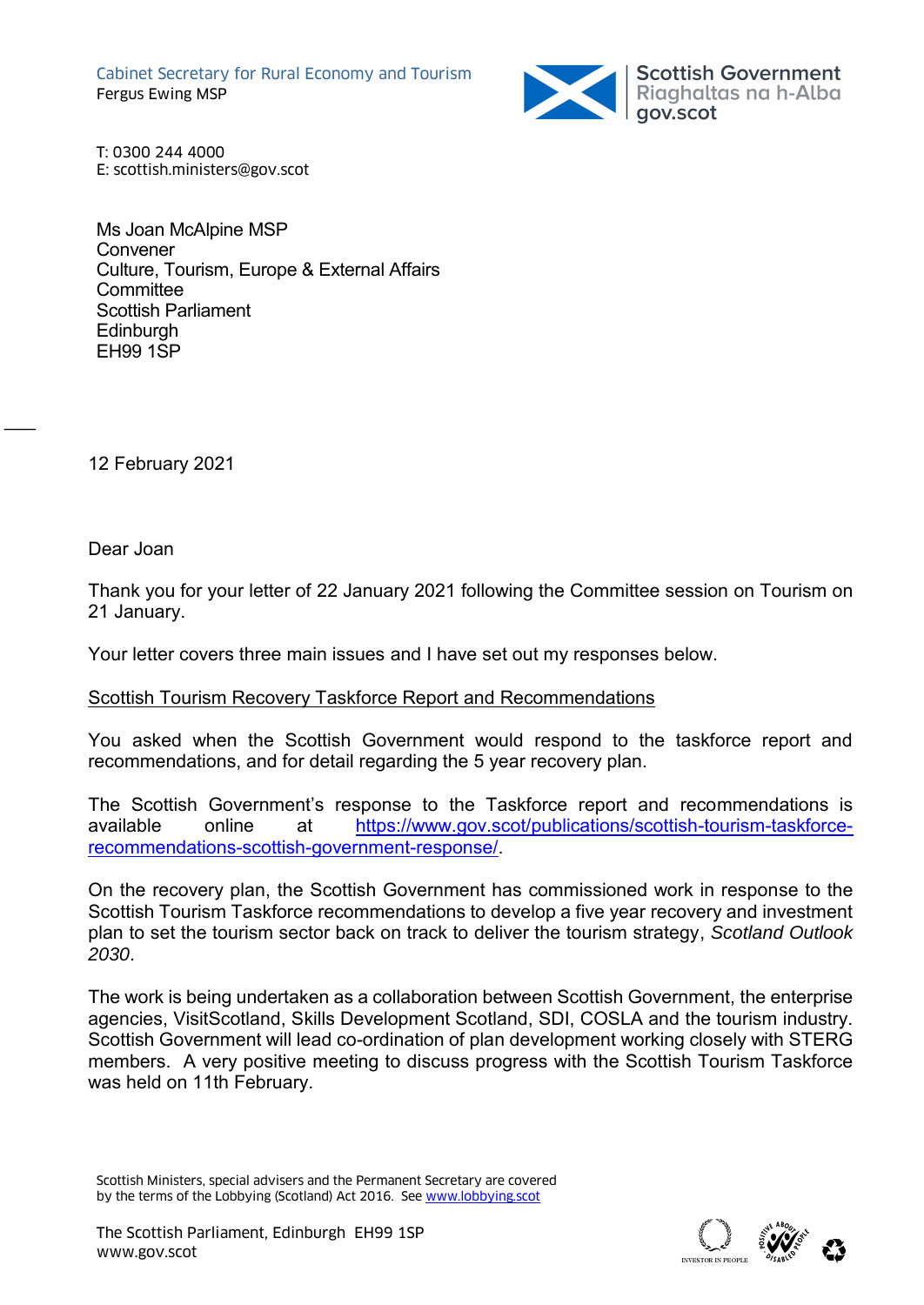Cabinet Secretary for Rural Economy and Tourism Fergus Ewing MSP



T: 0300 244 4000 E: scottish.ministers@gov.scot

Ms Joan McAlpine MSP **Convener** Culture, Tourism, Europe & External Affairs **Committee** Scottish Parliament **Edinburgh** EH99 1SP

12 February 2021

Dear Joan

 $\overline{\phantom{a}}$ 

Thank you for your letter of 22 January 2021 following the Committee session on Tourism on 21 January.

Your letter covers three main issues and I have set out my responses below.

### Scottish Tourism Recovery Taskforce Report and Recommendations

You asked when the Scottish Government would respond to the taskforce report and recommendations, and for detail regarding the 5 year recovery plan.

The Scottish Government's response to the Taskforce report and recommendations is available online at [https://www.gov.scot/publications/scottish-tourism-taskforce](https://www.gov.scot/publications/scottish-tourism-taskforce-recommendations-scottish-government-response/)[recommendations-scottish-government-response/.](https://www.gov.scot/publications/scottish-tourism-taskforce-recommendations-scottish-government-response/)

On the recovery plan, the Scottish Government has commissioned work in response to the Scottish Tourism Taskforce recommendations to develop a five year recovery and investment plan to set the tourism sector back on track to deliver the tourism strategy, *Scotland Outlook 2030*.

The work is being undertaken as a collaboration between Scottish Government, the enterprise agencies, VisitScotland, Skills Development Scotland, SDI, COSLA and the tourism industry. Scottish Government will lead co-ordination of plan development working closely with STERG members. A very positive meeting to discuss progress with the Scottish Tourism Taskforce was held on 11th February.



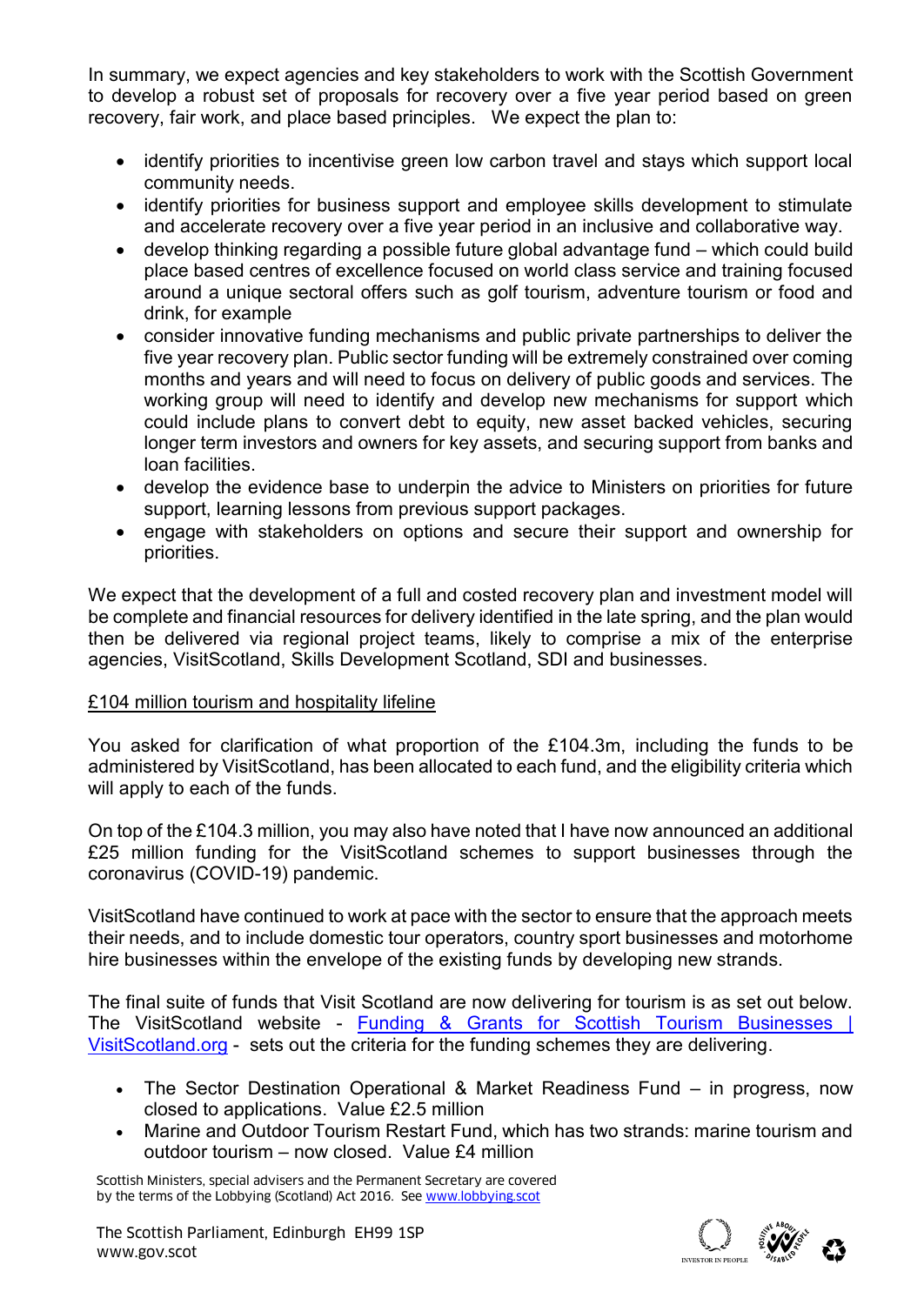In summary, we expect agencies and key stakeholders to work with the Scottish Government to develop a robust set of proposals for recovery over a five year period based on green recovery, fair work, and place based principles. We expect the plan to:

- identify priorities to incentivise green low carbon travel and stays which support local community needs.
- identify priorities for business support and employee skills development to stimulate and accelerate recovery over a five year period in an inclusive and collaborative way.
- develop thinking regarding a possible future global advantage fund which could build place based centres of excellence focused on world class service and training focused around a unique sectoral offers such as golf tourism, adventure tourism or food and drink, for example
- consider innovative funding mechanisms and public private partnerships to deliver the five year recovery plan. Public sector funding will be extremely constrained over coming months and years and will need to focus on delivery of public goods and services. The working group will need to identify and develop new mechanisms for support which could include plans to convert debt to equity, new asset backed vehicles, securing longer term investors and owners for key assets, and securing support from banks and loan facilities.
- develop the evidence base to underpin the advice to Ministers on priorities for future support, learning lessons from previous support packages.
- engage with stakeholders on options and secure their support and ownership for priorities.

We expect that the development of a full and costed recovery plan and investment model will be complete and financial resources for delivery identified in the late spring, and the plan would then be delivered via regional project teams, likely to comprise a mix of the enterprise agencies, VisitScotland, Skills Development Scotland, SDI and businesses.

# £104 million tourism and hospitality lifeline

You asked for clarification of what proportion of the £104.3m, including the funds to be administered by VisitScotland, has been allocated to each fund, and the eligibility criteria which will apply to each of the funds.

On top of the £104.3 million, you may also have noted that I have now announced an additional £25 million funding for the VisitScotland schemes to support businesses through the coronavirus (COVID-19) pandemic.

VisitScotland have continued to work at pace with the sector to ensure that the approach meets their needs, and to include domestic tour operators, country sport businesses and motorhome hire businesses within the envelope of the existing funds by developing new strands.

The final suite of funds that Visit Scotland are now delivering for tourism is as set out below. The VisitScotland website - [Funding & Grants for Scottish Tourism Businesses |](https://www.visitscotland.org/supporting-your-business/funding)  [VisitScotland.org](https://www.visitscotland.org/supporting-your-business/funding) - sets out the criteria for the funding schemes they are delivering.

- The Sector Destination Operational & Market Readiness Fund in progress, now closed to applications. Value £2.5 million
- Marine and Outdoor Tourism Restart Fund, which has two strands: marine tourism and outdoor tourism – now closed. Value £4 million

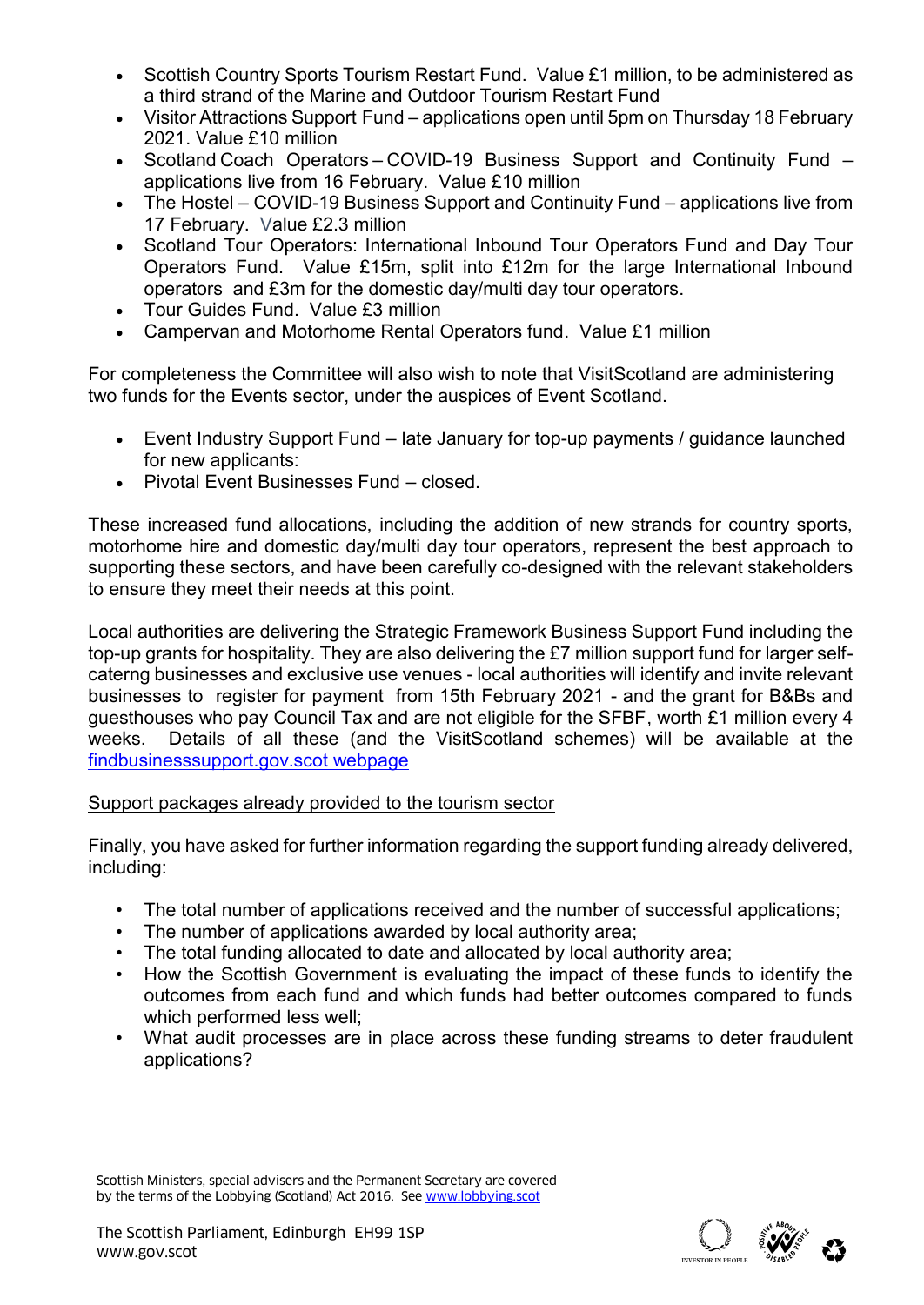- Scottish Country Sports Tourism Restart Fund. Value £1 million, to be administered as a third strand of the Marine and Outdoor Tourism Restart Fund
- Visitor Attractions Support Fund applications open until 5pm on Thursday 18 February 2021. Value £10 million
- Scotland Coach Operators – COVID-19 Business Support and Continuity Fund applications live from 16 February. Value £10 million
- The Hostel COVID-19 Business Support and Continuity Fund applications live from 17 February. Value £2.3 million
- Scotland Tour Operators: International Inbound Tour Operators Fund and Day Tour Operators Fund. Value £15m, split into £12m for the large International Inbound operators and £3m for the domestic day/multi day tour operators.
- Tour Guides Fund. Value £3 million
- Campervan and Motorhome Rental Operators fund. Value £1 million

For completeness the Committee will also wish to note that VisitScotland are administering two funds for the Events sector, under the auspices of Event Scotland.

- Event Industry Support Fund late January for top-up payments / guidance launched for new applicants:
- Pivotal Event Businesses Fund closed.

These increased fund allocations, including the addition of new strands for country sports, motorhome hire and domestic day/multi day tour operators, represent the best approach to supporting these sectors, and have been carefully co-designed with the relevant stakeholders to ensure they meet their needs at this point.

Local authorities are delivering the Strategic Framework Business Support Fund including the top-up grants for hospitality. They are also delivering the £7 million support fund for larger selfcaterng businesses and exclusive use venues - local authorities will identify and invite relevant businesses to register for payment from 15th February 2021 - and the grant for B&Bs and guesthouses who pay Council Tax and are not eligible for the SFBF, worth £1 million every 4 weeks. Details of all these (and the VisitScotland schemes) will be available at the [findbusinesssupport.gov.scot webpage](https://findbusinesssupport.gov.scot/browse-support#!Products=/coronavirus/funding/last-modified/show+25/page+1)

# Support packages already provided to the tourism sector

Finally, you have asked for further information regarding the support funding already delivered, including:

- The total number of applications received and the number of successful applications;<br>• The number of applications awarded by local authority area:
- The number of applications awarded by local authority area;
- The total funding allocated to date and allocated by local authority area;
- How the Scottish Government is evaluating the impact of these funds to identify the outcomes from each fund and which funds had better outcomes compared to funds which performed less well;
- What audit processes are in place across these funding streams to deter fraudulent applications?

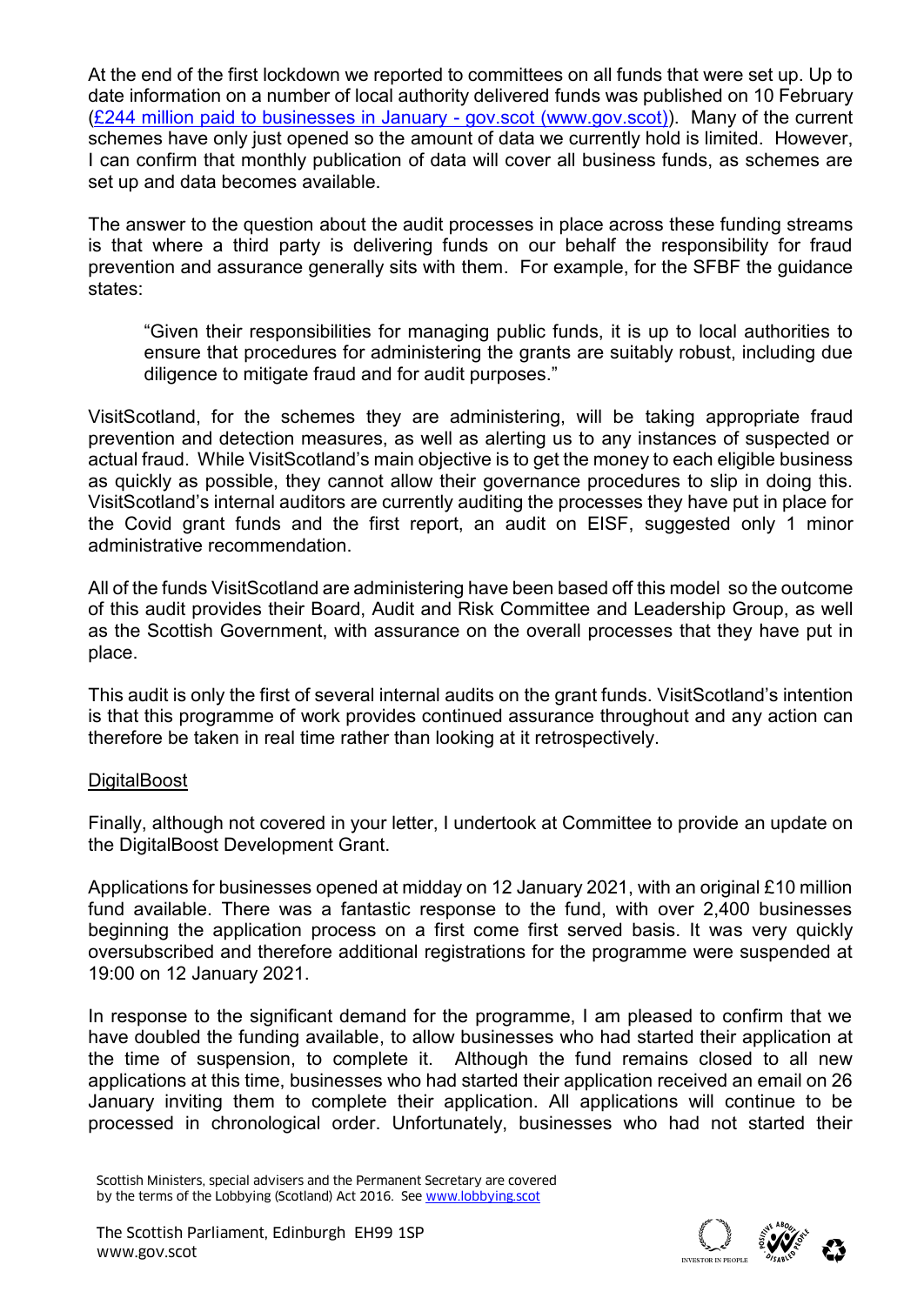At the end of the first lockdown we reported to committees on all funds that were set up. Up to date information on a number of local authority delivered funds was published on 10 February [\(£244 million paid to businesses in January -](https://www.gov.scot/news/gbp-244-million-paid-to-businesses-in-january/) gov.scot (www.gov.scot)). Many of the current schemes have only just opened so the amount of data we currently hold is limited. However, I can confirm that monthly publication of data will cover all business funds, as schemes are set up and data becomes available.

The answer to the question about the audit processes in place across these funding streams is that where a third party is delivering funds on our behalf the responsibility for fraud prevention and assurance generally sits with them. For example, for the SFBF the guidance states:

"Given their responsibilities for managing public funds, it is up to local authorities to ensure that procedures for administering the grants are suitably robust, including due diligence to mitigate fraud and for audit purposes."

VisitScotland, for the schemes they are administering, will be taking appropriate fraud prevention and detection measures, as well as alerting us to any instances of suspected or actual fraud. While VisitScotland's main objective is to get the money to each eligible business as quickly as possible, they cannot allow their governance procedures to slip in doing this. VisitScotland's internal auditors are currently auditing the processes they have put in place for the Covid grant funds and the first report, an audit on EISF, suggested only 1 minor administrative recommendation.

All of the funds VisitScotland are administering have been based off this model so the outcome of this audit provides their Board, Audit and Risk Committee and Leadership Group, as well as the Scottish Government, with assurance on the overall processes that they have put in place.

This audit is only the first of several internal audits on the grant funds. VisitScotland's intention is that this programme of work provides continued assurance throughout and any action can therefore be taken in real time rather than looking at it retrospectively.

### **DigitalBoost**

Finally, although not covered in your letter, I undertook at Committee to provide an update on the DigitalBoost Development Grant.

Applications for businesses opened at midday on 12 January 2021, with an original £10 million fund available. There was a fantastic response to the fund, with over 2,400 businesses beginning the application process on a first come first served basis. It was very quickly oversubscribed and therefore additional registrations for the programme were suspended at 19:00 on 12 January 2021.

In response to the significant demand for the programme, I am pleased to confirm that we have doubled the funding available, to allow businesses who had started their application at the time of suspension, to complete it. Although the fund remains closed to all new applications at this time, businesses who had started their application received an email on 26 January inviting them to complete their application. All applications will continue to be processed in chronological order. Unfortunately, businesses who had not started their